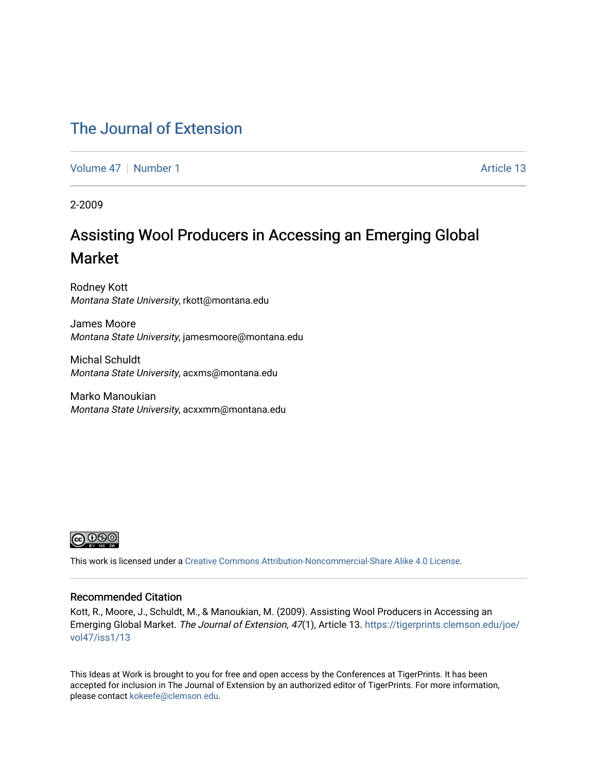### [The Journal of Extension](https://tigerprints.clemson.edu/joe)

[Volume 47](https://tigerprints.clemson.edu/joe/vol47) | [Number 1](https://tigerprints.clemson.edu/joe/vol47/iss1) Article 13

2-2009

## Assisting Wool Producers in Accessing an Emerging Global Market

Rodney Kott Montana State University, rkott@montana.edu

James Moore Montana State University, jamesmoore@montana.edu

Michal Schuldt Montana State University, acxms@montana.edu

Marko Manoukian Montana State University, acxxmm@montana.edu



This work is licensed under a [Creative Commons Attribution-Noncommercial-Share Alike 4.0 License.](https://creativecommons.org/licenses/by-nc-sa/4.0/)

#### Recommended Citation

Kott, R., Moore, J., Schuldt, M., & Manoukian, M. (2009). Assisting Wool Producers in Accessing an Emerging Global Market. The Journal of Extension, 47(1), Article 13. [https://tigerprints.clemson.edu/joe/](https://tigerprints.clemson.edu/joe/vol47/iss1/13) [vol47/iss1/13](https://tigerprints.clemson.edu/joe/vol47/iss1/13) 

This Ideas at Work is brought to you for free and open access by the Conferences at TigerPrints. It has been accepted for inclusion in The Journal of Extension by an authorized editor of TigerPrints. For more information, please contact [kokeefe@clemson.edu](mailto:kokeefe@clemson.edu).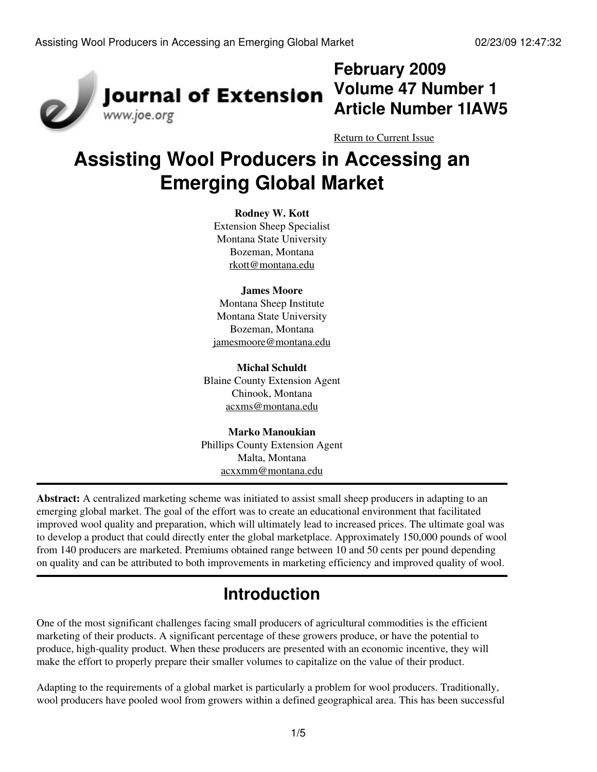

## **February 2009 Volume 47 Number 1 Article Number 1IAW5**

[Return to Current Issue](http://www.joe.org:80/joe/2009february/)

# **Assisting Wool Producers in Accessing an Emerging Global Market**

#### **Rodney W. Kott**

Extension Sheep Specialist Montana State University Bozeman, Montana [rkott@montana.edu](mailto:rkott@montana.edu)

#### **James Moore**

Montana Sheep Institute Montana State University Bozeman, Montana [jamesmoore@montana.edu](mailto:jamesmoore@montana.edu)

#### **Michal Schuldt**

Blaine County Extension Agent Chinook, Montana [acxms@montana.edu](mailto:acxms@montana.edu)

**Marko Manoukian** Phillips County Extension Agent Malta, Montana [acxxmm@montana.edu](mailto:acxxmm@montana.edu)

**Abstract:** A centralized marketing scheme was initiated to assist small sheep producers in adapting to an emerging global market. The goal of the effort was to create an educational environment that facilitated improved wool quality and preparation, which will ultimately lead to increased prices. The ultimate goal was to develop a product that could directly enter the global marketplace. Approximately 150,000 pounds of wool from 140 producers are marketed. Premiums obtained range between 10 and 50 cents per pound depending on quality and can be attributed to both improvements in marketing efficiency and improved quality of wool.

## **Introduction**

One of the most significant challenges facing small producers of agricultural commodities is the efficient marketing of their products. A significant percentage of these growers produce, or have the potential to produce, high-quality product. When these producers are presented with an economic incentive, they will make the effort to properly prepare their smaller volumes to capitalize on the value of their product.

Adapting to the requirements of a global market is particularly a problem for wool producers. Traditionally, wool producers have pooled wool from growers within a defined geographical area. This has been successful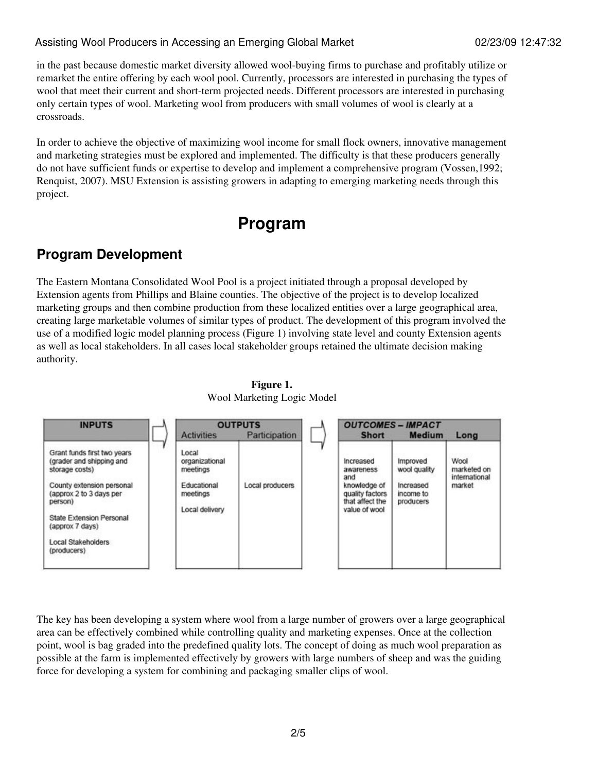#### Assisting Wool Producers in Accessing an Emerging Global Market 02/23/09 12:47:32

in the past because domestic market diversity allowed wool-buying firms to purchase and profitably utilize or remarket the entire offering by each wool pool. Currently, processors are interested in purchasing the types of wool that meet their current and short-term projected needs. Different processors are interested in purchasing only certain types of wool. Marketing wool from producers with small volumes of wool is clearly at a crossroads.

In order to achieve the objective of maximizing wool income for small flock owners, innovative management and marketing strategies must be explored and implemented. The difficulty is that these producers generally do not have sufficient funds or expertise to develop and implement a comprehensive program (Vossen,1992; Renquist, 2007). MSU Extension is assisting growers in adapting to emerging marketing needs through this project.

## **Program**

### **Program Development**

The Eastern Montana Consolidated Wool Pool is a project initiated through a proposal developed by Extension agents from Phillips and Blaine counties. The objective of the project is to develop localized marketing groups and then combine production from these localized entities over a large geographical area, creating large marketable volumes of similar types of product. The development of this program involved the use of a modified logic model planning process (Figure 1) involving state level and county Extension agents as well as local stakeholders. In all cases local stakeholder groups retained the ultimate decision making authority.



**Figure 1.** Wool Marketing Logic Model

The key has been developing a system where wool from a large number of growers over a large geographical area can be effectively combined while controlling quality and marketing expenses. Once at the collection point, wool is bag graded into the predefined quality lots. The concept of doing as much wool preparation as possible at the farm is implemented effectively by growers with large numbers of sheep and was the guiding force for developing a system for combining and packaging smaller clips of wool.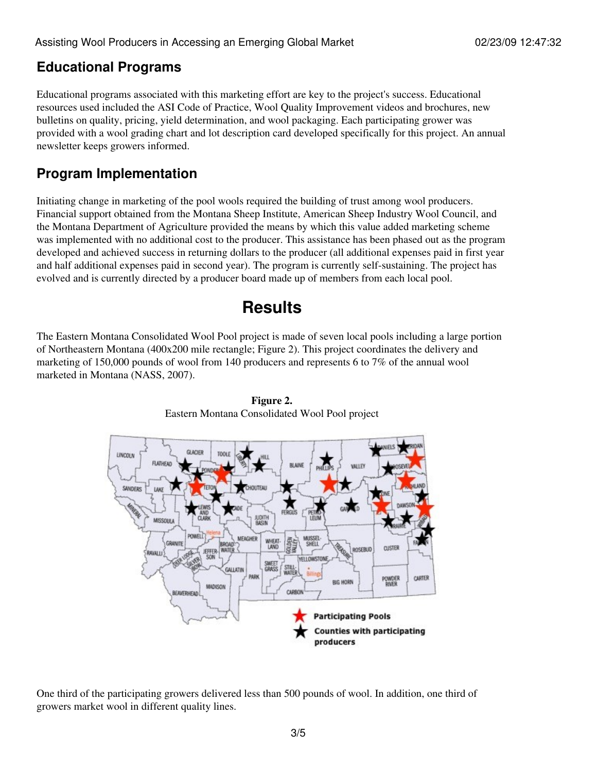### **Educational Programs**

Educational programs associated with this marketing effort are key to the project's success. Educational resources used included the ASI Code of Practice, Wool Quality Improvement videos and brochures, new bulletins on quality, pricing, yield determination, and wool packaging. Each participating grower was provided with a wool grading chart and lot description card developed specifically for this project. An annual newsletter keeps growers informed.

### **Program Implementation**

Initiating change in marketing of the pool wools required the building of trust among wool producers. Financial support obtained from the Montana Sheep Institute, American Sheep Industry Wool Council, and the Montana Department of Agriculture provided the means by which this value added marketing scheme was implemented with no additional cost to the producer. This assistance has been phased out as the program developed and achieved success in returning dollars to the producer (all additional expenses paid in first year and half additional expenses paid in second year). The program is currently self-sustaining. The project has evolved and is currently directed by a producer board made up of members from each local pool.

## **Results**

The Eastern Montana Consolidated Wool Pool project is made of seven local pools including a large portion of Northeastern Montana (400x200 mile rectangle; Figure 2). This project coordinates the delivery and marketing of 150,000 pounds of wool from 140 producers and represents 6 to 7% of the annual wool marketed in Montana (NASS, 2007).



**Figure 2.** Eastern Montana Consolidated Wool Pool project

One third of the participating growers delivered less than 500 pounds of wool. In addition, one third of growers market wool in different quality lines.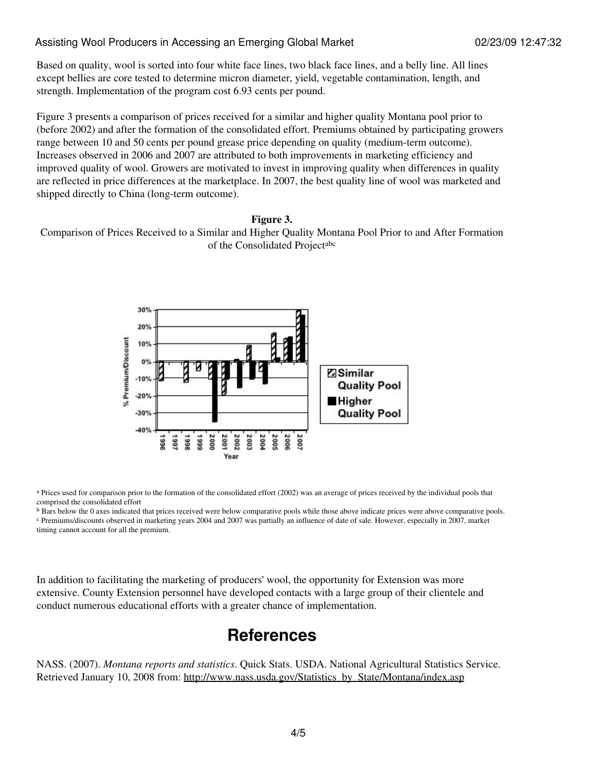#### Assisting Wool Producers in Accessing an Emerging Global Market 02/23/09 12:47:32

Based on quality, wool is sorted into four white face lines, two black face lines, and a belly line. All lines except bellies are core tested to determine micron diameter, yield, vegetable contamination, length, and strength. Implementation of the program cost 6.93 cents per pound.

Figure 3 presents a comparison of prices received for a similar and higher quality Montana pool prior to (before 2002) and after the formation of the consolidated effort. Premiums obtained by participating growers range between 10 and 50 cents per pound grease price depending on quality (medium-term outcome). Increases observed in 2006 and 2007 are attributed to both improvements in marketing efficiency and improved quality of wool. Growers are motivated to invest in improving quality when differences in quality are reflected in price differences at the marketplace. In 2007, the best quality line of wool was marketed and shipped directly to China (long-term outcome).

#### **Figure 3.**

Comparison of Prices Received to a Similar and Higher Quality Montana Pool Prior to and After Formation of the Consolidated Projectabc



<sup>a</sup> Prices used for comparison prior to the formation of the consolidated effort (2002) was an average of prices received by the individual pools that comprised the consolidated effort

b Bars below the 0 axes indicated that prices received were below comparative pools while those above indicate prices were above comparative pools. c Premiums/discounts observed in marketing years 2004 and 2007 was partially an influence of date of sale. However, especially in 2007, market timing cannot account for all the premium.

In addition to facilitating the marketing of producers' wool, the opportunity for Extension was more extensive. County Extension personnel have developed contacts with a large group of their clientele and conduct numerous educational efforts with a greater chance of implementation.

### **References**

NASS. (2007). *Montana reports and statistics*. Quick Stats. USDA. National Agricultural Statistics Service. Retrieved January 10, 2008 from: [http://www.nass.usda.gov/Statistics\\_by\\_State/Montana/index.asp](http://www.nass.usda.gov/Statistics_by_State/Montana/index.asp)